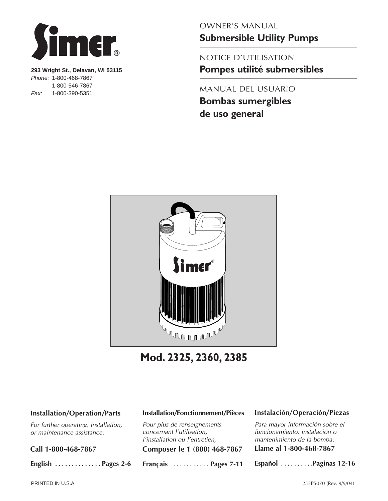

**293 Wright St., Delavan, WI 53115** *Phone:* 1-800-468-7867 1-800-546-7867 *Fax:* 1-800-390-5351

OWNER'S MANUAL

**Submersible Utility Pumps**

NOTICE D'UTILISATION **Pompes utilité submersibles**

MANUAL DEL USUARIO

**Bombas sumergibles de uso general**



**Mod. 2325, 2360, 2385**

#### **Installation/Operation/Parts**

*For further operating, installation, or maintenance assistance:* 

**Call 1-800-468-7867**

**English . . . . . . . . . . . . . . Pages 2-6**

#### **Installation/Fonctionnement/Pièces**

*Pour plus de renseignements concernant l'utilisation, l'installation ou l'entretien,* **Composer le 1 (800) 468-7867**

**Français . . . . . . . . . . . Pages 7-11**

#### **Instalación/Operación/Piezas**

*Para mayor información sobre el funcionamiento, instalación o mantenimiento de la bomba:*

**Llame al 1-800-468-7867**

**Español . . . . . . . . . .Paginas 12-16**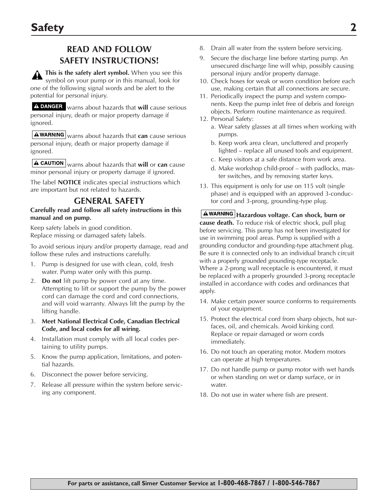# **READ AND FOLLOW SAFETY INSTRUCTIONS!**

**This is the safety alert symbol.** When you see this symbol on your pump or in this manual, look for one of the following signal words and be alert to the potential for personal injury.

warns about hazards that **will** cause serious personal injury, death or major property damage if ignored.

**AWARNING** warns about hazards that **can** cause serious personal injury, death or major property damage if ignored.

**A CAUTION** warns about hazards that will or can cause minor personal injury or property damage if ignored.

The label **NOTICE** indicates special instructions which are important but not related to hazards.

### **GENERAL SAFETY**

#### **Carefully read and follow all safety instructions in this manual and on pump.**

Keep safety labels in good condition. Replace missing or damaged safety labels.

To avoid serious injury and/or property damage, read and follow these rules and instructions carefully.

- 1. Pump is designed for use with clean, cold, fresh water. Pump water only with this pump.
- 2. **Do not** lift pump by power cord at any time. Attempting to lift or support the pump by the power cord can damage the cord and cord connections, and will void warranty. Always lift the pump by the lifting handle.
- 3. **Meet National Electrical Code, Canadian Electrical Code, and local codes for all wiring.**
- 4. Installation must comply with all local codes pertaining to utility pumps.
- 5. Know the pump application, limitations, and potential hazards.
- 6. Disconnect the power before servicing.
- 7. Release all pressure within the system before servicing any component.
- 8. Drain all water from the system before servicing.
- 9. Secure the discharge line before starting pump. An unsecured discharge line will whip, possibly causing personal injury and/or property damage.
- 10. Check hoses for weak or worn condition before each use, making certain that all connections are secure.
- 11. Periodically inspect the pump and system components. Keep the pump inlet free of debris and foreign objects. Perform routine maintenance as required.
- 12. Personal Safety:
	- a. Wear safety glasses at all times when working with pumps.
	- b. Keep work area clean, uncluttered and properly lighted – replace all unused tools and equipment.
	- c. Keep visitors at a safe distance from work area.
	- d. Make workshop child-proof with padlocks, master switches, and by removing starter keys.
- 13. This equipment is only for use on 115 volt (single phase) and is equipped with an approved 3-conductor cord and 3-prong, grounding-type plug.

**Hazardous voltage. Can shock, burn or cause death.** To reduce risk of electric shock, pull plug before servicing. This pump has not been investigated for use in swimming pool areas. Pump is supplied with a grounding conductor and grounding-type attachment plug. Be sure it is connected only to an individual branch circuit with a properly grounded grounding-type receptacle. Where a 2-prong wall receptacle is encountered, it must be replaced with a properly grounded 3-prong receptacle installed in accordance with codes and ordinances that apply.

- 14. Make certain power source conforms to requirements of your equipment.
- 15. Protect the electrical cord from sharp objects, hot surfaces, oil, and chemicals. Avoid kinking cord. Replace or repair damaged or worn cords immediately.
- 16. Do not touch an operating motor. Modern motors can operate at high temperatures.
- 17. Do not handle pump or pump motor with wet hands or when standing on wet or damp surface, or in water.
- 18. Do not use in water where fish are present.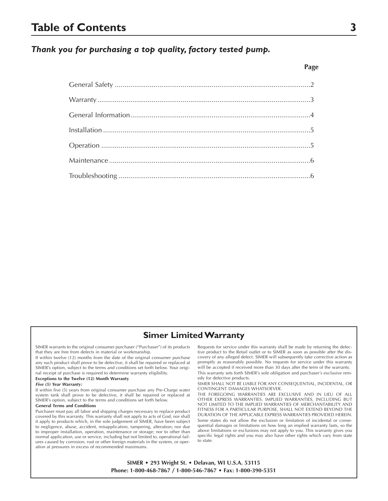## **Table of Contents 3**

### *Thank you for purchasing a top quality, factory tested pump.*

# General Safety .....................................................................................................2 Warranty..............................................................................................................3 General Information.............................................................................................4 Installation ...........................................................................................................5 Operation ............................................................................................................5 Maintenance........................................................................................................6 Troubleshooting ...................................................................................................6

#### **Simer Limited Warranty**

SIMER warrants to the original consumer purchaser ("Purchaser") of its products that they are free from defects in material or workmanship.

If within twelve (12) months from the date of the original consumer purchase any such product shall prove to be defective, it shall be repaired or replaced at SIMER's option, subject to the terms and conditions set forth below. Your original receipt of purchase is required to determine warranty eligibility.

#### **Exceptions to the Twelve (12) Month Warranty**

#### *Five (5) Year Warranty:*

If within five (5) years from original consumer purchase any Pre-Charge water system tank shall prove to be defective, it shall be repaired or replaced at SIMER's option, subject to the terms and conditions set forth below.

#### **General Terms and Conditions**

Purchaser must pay all labor and shipping charges necessary to replace product covered by this warranty. This warranty shall not apply to acts of God, nor shall it apply to products which, in the sole judgement of SIMER, have been subject to negligence, abuse, accident, misapplication, tampering, alteration; nor due to improper installation, operation, maintenance or storage; nor to other than normal application, use or service, including but not limited to, operational failures caused by corrosion, rust or other foreign materials in the system, or operation at pressures in excess of recommended maximums.

Requests for service under this warranty shall be made by returning the defective product to the Retail outlet or to SIMER as soon as possible after the discovery of any alleged defect. SIMER will subsequently take corrective action as promptly as reasonably possible. No requests for service under this warranty will be accepted if received more than 30 days after the term of the warranty. This warranty sets forth SIMER's sole obligation and purchaser's exclusive remedy for defective products.

SIMER SHALL NOT BE LIABLE FOR ANY CONSEQUENTIAL, INCIDENTAL, OR CONTINGENT DAMAGES WHATSOEVER.

THE FOREGOING WARRANTIES ARE EXCLUSIVE AND IN LIEU OF ALL OTHER EXPRESS WARRANTIES. IMPLIED WARRANTIES, INCLUDING BUT NOT LIMITED TO THE IMPLIED WARRANTIES OF MERCHANTABILITY AND FITNESS FOR A PARTICULAR PURPOSE, SHALL NOT EXTEND BEYOND THE DURATION OF THE APPLICABLE EXPRESS WARRANTIES PROVIDED HEREIN. Some states do not allow the exclusion or limitation of incidental or consequential damages or limitations on how long an implied warranty lasts, so the above limitations or exclusions may not apply to you. This warranty gives you specific legal rights and you may also have other rights which vary from state to state.

**SIMER • 293 Wright St. • Delavan, WI U.S.A. 53115 Phone: 1-800-468-7867 / 1-800-546-7867 • Fax: 1-800-390-5351**

#### **Page**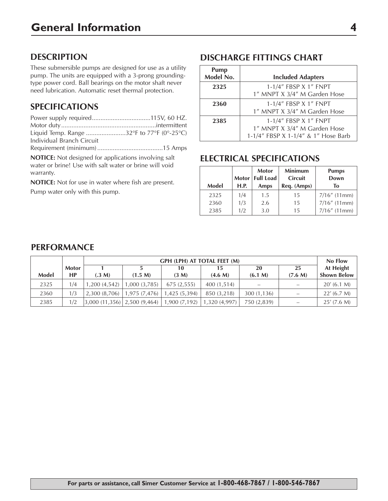### **DESCRIPTION**

These submersible pumps are designed for use as a utility pump. The units are equipped with a 3-prong groundingtype power cord. Ball bearings on the motor shaft never need lubrication. Automatic reset thermal protection.

### **SPECIFICATIONS**

| Liquid Temp. Range 32°F to 77°F (0°-25°C) |  |
|-------------------------------------------|--|
| Individual Branch Circuit                 |  |
|                                           |  |

**NOTICE:** Not designed for applications involving salt

water or brine! Use with salt water or brine will void warranty.

**NOTICE:** Not for use in water where fish are present.

Pump water only with this pump.

# **DISCHARGE FITTINGS CHART**

| <b>Pump</b><br>Model No. | <b>Included Adapters</b>            |
|--------------------------|-------------------------------------|
| 2325                     | 1-1/4" FBSP X 1" FNPT               |
|                          | 1" MNPT X 3/4" M Garden Hose        |
| 2360                     | 1-1/4" FBSP X 1" FNPT               |
|                          | 1" MNPT X 3/4" M Garden Hose        |
| 2385                     | 1-1/4" FBSP X 1" FNPT               |
|                          | 1" MNPT X 3/4" M Garden Hose        |
|                          | 1-1/4" FBSP X 1-1/4" & 1" Hose Barb |

## **ELECTRICAL SPECIFICATIONS**

| <b>Model</b> | H.P.       | <b>Motor</b><br>Motor   Full Load<br>Amps | <b>Minimum</b><br><b>Circuit</b><br>Req. (Amps) | <b>Pumps</b><br>Down<br>Tο         |
|--------------|------------|-------------------------------------------|-------------------------------------------------|------------------------------------|
| 2325<br>2360 | 1/4<br>1/3 | 1.5<br>2.6                                | 15<br>15                                        | $7/16''$ (11mm)<br>$7/16''$ (11mm) |
| 2385         | 1/2        | 3.0                                       | 15                                              | $7/16''$ (11mm)                    |

### **PERFORMANCE**

|       |              |              | GPH (LPH) AT TOTAL FEET (M) |                                           |             |                          |         | No Flow            |
|-------|--------------|--------------|-----------------------------|-------------------------------------------|-------------|--------------------------|---------|--------------------|
|       | <b>Motor</b> |              | 25<br>10<br>20<br>15        |                                           |             |                          |         | At Height          |
| Model | <b>HP</b>    | (.3 M)       | (1.5 M)                     | (3 M)                                     | (4.6 M)     | (6.1 M)                  | (7.6 M) | <b>Shown Below</b> |
| 2325  | 1/4          | 1,200(4,542) | 1,000 (3,785)               | 675 (2,555)                               | 400 (1.514) | $\overline{\phantom{0}}$ |         | 20' (6.1 M)        |
| 2360  | 1/3          | 2,300(8,706) | 1,975(7,476)                | 1,425 (5,394)                             | 850 (3.218) | 300 (1,136)              |         | $22'$ (6.7 M)      |
| 2385  | 1/2          |              | 3,000(11,356) 2,500(9,464)  | $\mid$ 1,900 (7,192) $\mid$ 1,320 (4,997) |             | 750 (2,839)              | -       | $25'$ (7.6 M)      |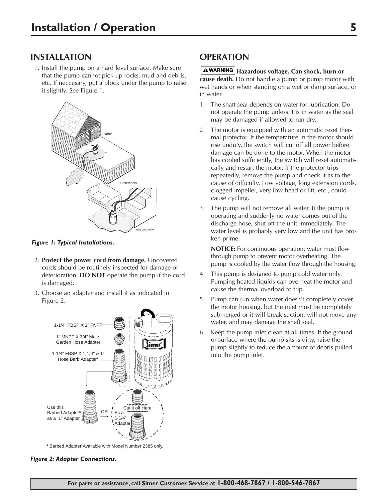### **INSTALLATION**

1. Install the pump on a hard level surface. Make sure that the pump cannot pick up rocks, mud and debris, etc. If neccesary, put a block under the pump to raise it slightly. See Figure 1.



*Figure 1: Typical Installations.*

- 2. **Protect the power cord from damage.** Uncovered cords should be routinely inspected for damage or deterioration. **DO NOT** operate the pump if the cord is damaged.
- 3. Choose an adapter and install it as indicated in Figure 2.



**\*** Barbed Adapter Available with Model Number 2385 only.

#### *Figure 2: Adapter Connections.*

### **OPERATION**

#### **Hazardous voltage. Can shock, burn or**

**cause death.** Do not handle a pump or pump motor with wet hands or when standing on a wet or damp surface, or in water.

- 1. The shaft seal depends on water for lubrication. Do not operate the pump unless it is in water as the seal may be damaged if allowed to run dry.
- 2. The motor is equipped with an automatic reset thermal protector. If the temperature in the motor should rise unduly, the switch will cut off all power before damage can be done to the motor. When the motor has cooled sufficiently, the switch will reset automatically and restart the motor. If the protector trips repeatedly, remove the pump and check it as to the cause of difficulty. Low voltage, long extension cords, clogged impeller, very low head or lift, etc., could cause cycling.
- 3. The pump will not remove all water. If the pump is operating and suddenly no water comes out of the discharge hose, shut off the unit immediately. The water level is probably very low and the unit has broken prime.

**NOTICE:** For continuous operation, water must flow through pump to prevent motor overheating. The pump is cooled by the water flow through the housing.

- 4. This pump is designed to pump cold water only. Pumping heated liquids can overheat the motor and cause the thermal overload to trip.
- 5. Pump can run when water doesn't completely cover the motor housing, but the inlet must be completely submerged or it will break suction, will not move any water, and may damage the shaft seal.
- 6. Keep the pump inlet clean at all times. If the ground or surface where the pump sits is dirty, raise the pump slightly to reduce the amount of debris pulled into the pump inlet.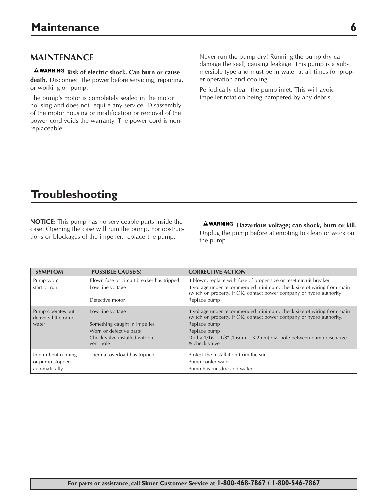### **MAINTENANCE**

**A WARNING** Risk of electric shock. Can burn or cause **death.** Disconnect the power before servicing, repairing,

or working on pump. The pump's motor is completely sealed in the motor

housing and does not require any service. Disassembly of the motor housing or modification or removal of the power cord voids the warranty. The power cord is nonreplaceable.

Never run the pump dry! Running the pump dry can damage the seal, causing leakage. This pump is a submersible type and must be in water at all times for proper operation and cooling.

Periodically clean the pump inlet. This will avoid impeller rotation being hampered by any debris.

# **Troubleshooting**

**NOTICE:** This pump has no serviceable parts inside the case. Opening the case will ruin the pump. For obstructions or blockages of the impeller, replace the pump.

**Hazardous voltage; can shock, burn or kill.** Unplug the pump before attempting to clean or work on the pump.

| <b>SYMPTOM</b>                                           | <b>POSSIBLE CAUSE(S)</b>                         | <b>CORRECTIVE ACTION</b>                                                                                                                                     |
|----------------------------------------------------------|--------------------------------------------------|--------------------------------------------------------------------------------------------------------------------------------------------------------------|
| Pump won't                                               | Blown fuse or circuit breaker has tripped        | If blown, replace with fuse of proper size or reset circuit breaker                                                                                          |
| start or run                                             | Low line voltage                                 | If voltage under recommended minimum, check size of wiring from main<br>switch on property. If OK, contact power company or hydro authority                  |
|                                                          | Defective motor                                  | Replace pump                                                                                                                                                 |
| Pump operates but<br>delivers little or no<br>water      | Low line voltage<br>Something caught in impeller | If voltage under recommended minimum, check size of wiring from main<br>switch on property. If OK, contact power company or hydro authority.<br>Replace pump |
|                                                          | Worn or defective parts                          | Replace pump                                                                                                                                                 |
|                                                          | Check valve installed without<br>vent hole       | Drill a 1/16" - 1/8" (1.6mm - 3.2mm) dia. hole between pump discharge<br>& check valve                                                                       |
| Intermittent running<br>or pump stopped<br>automatically | Thermal overload has tripped                     | Protect the installation from the sun<br>Pump cooler water<br>Pump has run dry; add water                                                                    |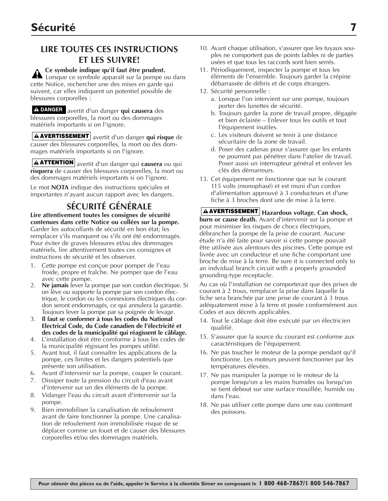## **LIRE TOUTES CES INSTRUCTIONS ET LES SUIVRE!**

**Ce symbole indique qu'il faut être prudent.** Lorsque ce symbole apparaît sur la pompe ou dans cette Notice, rechercher une des mises en garde qui suivent, car elles indiquent un potentiel possible de blessures corporelles :

A DANGER avertit d'un danger qui causera des blessures corporelles, la mort ou des dommages matériels importants si on l'ignore.

**AVERTISSEMENT** avertit d'un danger qui risque de causer des blessures corporelles, la mort ou des dommages matériels importants si on l'ignore.

**ATTENTION** avertit d'un danger qui **causera** ou qui **risquera** de causer des blessures corporelles, la mort ou des dommages matériels importants si on l'ignore.

Le mot **NOTA** indique des instructions spéciales et importantes n'ayant aucun rapport avec les dangers.

# **SÉCURITÉ GÉNÉRALE**

**Lire attentivement toutes les consignes de sécurité contenues dans cette Notice ou collées sur la pompe.** Garder les autocollants de sécurité en bon état; les remplacer s'ils manquent ou s'ils ont été endommagés. Pour éviter de graves blessures et/ou des dommages matériels, lire attentivement toutes ces consignes et instructions de sécurité et les observer.

- 1. Cette pompe est conçue pour pomper de l'eau froide, propre et fraîche. Ne pomper que de l'eau avec cette pompe.
- 2. **Ne jamais** lever la pompe par son cordon électrique. Si on lève ou supporte la pompe par son cordon électrique, le cordon ou les connexions électriques du cordon seront endommagés, ce qui annulera la garantie. Toujours lever la pompe par sa poignée de levage.
- 3. **Il faut se conformer à tous les codes du National Electrical Code, du Code canadien de l'électricité et des codes de la municipalité qui réagissent le câblage.**
- 4. L'installation doit étre comforme à tous les codes de la municipalité régissant les pompes utilité.
- 5. Avant tout, il faut connaître les applications de la pompe, ces limites et les dangers potentiels que présente son utilisation.
- 6. Avant d'intervenir sur la pompe, couper le courant.
- 7. Dissiper toute la pression du circuit d'eau avant d'intervenir sur un des éléments de la pompe.
- 8. Vidanger l'eau du circuit avant d'intervenir sur la pompe.
- 9. Bien immobiliser la canalisation de refoulement avant de faire fonctionner la pompe. Une canalisation de refoulement non immobilisée risque de se déplacer comme un fouet et de causer des blessures corporelles et/ou des dommages matériels.
- 10. Avant chaque utilisation, s'assurer que les tuyaux souples ne comportent pas de points faibles ni de parties usées et que tous les raccords sont bien serrés.
- 11. Périodiquement, inspecter la pompe et tous les éléments de l'ensemble. Toujours garder la crépine débarrassée de débris et de corps étrangers.
- 12. Sécurité personnelle :
	- a. Lorsque l'on intervient sur une pompe, toujours porter des lunettes de sécurité.
	- b. Toujours garder la zone de travail propre, dégagée et bien éclairée – Enlever tous les outils et tout l'équipement inutiles.
	- c. Les visiteurs doivent se tenir à une distance sécuritaire de la zone de travail.
	- d. Poser des cadenas pour s'assurer que les enfants ne pourront pas pénétrer dans l'atelier de travail. Poser aussi un interrupteur général et enlever les clés des démarreurs.
- 13. Cet équipement ne fonctionne que sur le courant 115 volts (monophasé) et est muni d'un cordon d'alimentation approuvé à 3 conducteurs et d'une fiche à 3 broches dont une de mise à la terre.

**Hazardous voltage. Can shock, AVERTISSEMENT burn or cause death.** Avant d'intervenir sur la pompe et pour minimiser les risques de chocs électriques, débrancher la pompe de la prise de courant. Aucune étude n'a été faite pour savoir si cette pompe pouvait être utilisée aux alentours des piscines. Cette pompe est livrée avec un conducteur et une fiche comportant une broche de mise à la terre. Be sure it is connected only to an indvidual branch circuit with a properly grounded grounding-type receptacle.

Au cas où l'installation ne comporterait que des prises de courant à 2 trous, remplacer la prise dans laquelle la fiche sera branchée par une prise de courant à 3 trous adéquatement mise à la terre et posée conformément aux Codes et aux décrets applicables.

- 14. Tout le câblage doit être exécuté par un électricien qualifié.
- 15. S'assurer que la source du courant est conforme aux caractéristiques de l'équipement.
- 16. Ne pas toucher le moteur de la pompe pendant qu'il fonctionne. Les moteurs peuvent fonctionner par les températures élevées.
- 17. Ne pas manipuler la pompe ni le moteur de la pompe lorsqu'on a les mains humides ou lorsqu'on se tient debout sur une surface mouillée, humide ou dans l'eau.
- 18. Ne pas utiliser cette pompe dans une eau contenant des poissons.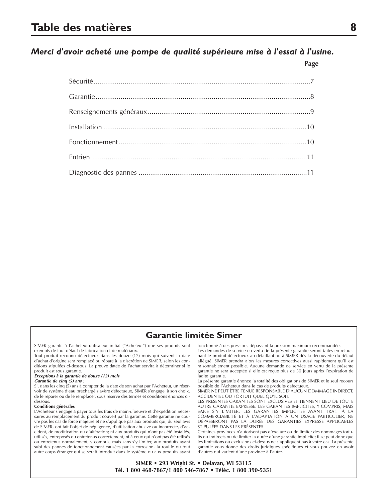#### *Merci d'avoir acheté une pompe de qualité supérieure mise à l'essai à l'usine.*

**Page**

#### **Garantie limitée Simer**

SIMER garantit à l'acheteur-utilisateur initial ("Acheteur") que ses produits sont exempts de tout défaut de fabrication et de matériaux.

Tout produit reconnu défectueux dans les douze (12) mois qui suivent la date d'achat d'origine sera remplacé ou réparé à la discrétion de SIMER, selon les conditions stipulées ci-dessous. La preuve datée de l'achat servira à déterminer si le produit est sous garantie.

#### *Exceptions à la garantie de douze (12) mois*

#### *Garantie de cinq (5) ans :*

Si, dans les cinq (5) ans à compter de la date de son achat par l'Acheteur, un réservoir de système d'eau préchargé s'avère défectueux, SIMER s'engage, à son choix, de le réparer ou de le remplacer, sous réserve des termes et conditions énoncés cidessous.

#### **Conditions générales**

L'Acheteur s'engage à payer tous les frais de main-d'oeuvre et d'expédition nécessaires au remplacement du produit couvert par la garantie. Cette garantie ne couvre pas les cas de force majeure et ne s'applique pas aux produits qui, du seul avis de SIMER, ont fait l'objet de négligence, d'utilisation abusive ou incorrecte, d'accident, de modification ou d'altération; ni aux produits qui n'ont pas été installés, utilisés, entreposés ou entretenus correctement; ni à ceux qui n'ont pas été utilisés ou entretenus normalement, y compris, mais sans s'y limiter, aux produits ayant subi des pannes de fonctionnement causées par la corrosion, la rouille ou tout autre corps étranger qui se serait introduit dans le système ou aux produits ayant

fonctionné à des pressions dépassant la pression maximum recommandée.

Les demandes de service en vertu de la présente garantie seront faites en retournant le produit défectueux au détaillant ou à SIMER dès la découverte du défaut allégué. SIMER prendra alors les mesures correctives aussi rapidement qu'il est raisonnablement possible. Aucune demande de service en vertu de la présente garantie ne sera acceptée si elle est reçue plus de 30 jours après l'expiration de ladite garantie.

La présente garantie énonce la totalité des obligations de SIMER et le seul recours possible de l'Acheteur dans le cas de produits défectueux. SIMER NE PEUT ÊTRE TENUE RESPONSABLE D'AUCUN DOMMAGE INDIRECT,

ACCIDENTEL OU FORTUIT QUEL QU'IL SOIT.

LES PRÉSENTES GARANTIES SONT EXCLUSIVES ET TIENNENT LIEU DE TOUTE AUTRE GARANTIE EXPRESSE. LES GARANTIES IMPLICITES, Y COMPRIS, MAIS SANS S'Y LIMITER, LES GARANTIES IMPLICITES AYANT TRAIT À LA COMMERCIABILITÉ ET À L'ADAPTATION À UN USAGE PARTICULIER, NE DÉPASSERONT PAS LA DURÉE DES GARANTIES EXPRESSE APPLICABLES STIPULÉES DANS LES PRÉSENTES.

Certaines provinces n'autorisent pas d'exclure ou de limiter des dommages fortuits ou indirects ou de limiter la durée d'une garantie implicite; il se peut donc que les limitations ou exclusions ci-dessus ne s'appliquent pas à votre cas. La présente garantie vous donne des droits juridiques spécifiques et vous pouvez en avoir d'autres qui varient d'une province à l'autre.

**SIMER • 293 Wright St. • Delavan, WI 53115 Tél. 1 800 468-7867/1 800 546-7867 • Téléc. 1 800 390-5351**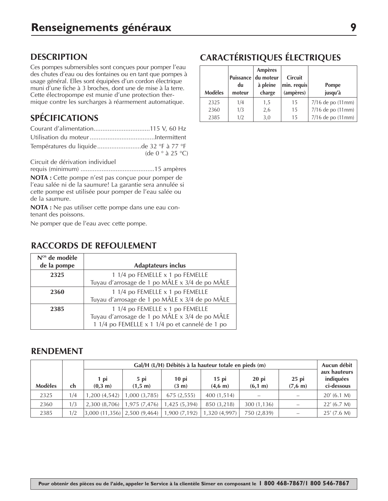### **DESCRIPTION**

Ces pompes submersibles sont conçues pour pomper l'eau des chutes d'eau ou des fontaines ou en tant que pompes à usage général. Elles sont équipées d'un cordon électrique muni d'une fiche à 3 broches, dont une de mise à la terre. Cette électropompe est munie d'une protection thermique contre les surcharges à réarmement automatique.

# **SPÉCIFICATIONS**

| Températures du liquidede 32 °F à 77 °F |                                   |
|-----------------------------------------|-----------------------------------|
|                                         | (de 0 $\degree$ à 25 $\degree$ C) |

Circuit de dérivation individuel

requis (minimum) ..........................................15 ampères

**NOTA :** Cette pompe n'est pas conçue pour pomper de l'eau salée ni de la saumure! La garantie sera annulée si cette pompe est utilisée pour pomper de l'eau salée ou de la saumure.

**NOTA :** Ne pas utiliser cette pompe dans une eau contenant des poissons.

Ne pomper que de l'eau avec cette pompe.

### **RACCORDS DE REFOULEMENT**

| $Nos$ de modèle<br>de la pompe | <b>Adaptateurs inclus</b>                                                                                                           |
|--------------------------------|-------------------------------------------------------------------------------------------------------------------------------------|
| 2325                           | 1 1/4 po FEMELLE x 1 po FEMELLE                                                                                                     |
|                                | Tuyau d'arrosage de 1 po MÂLE x 3/4 de po MÂLE                                                                                      |
| 2360                           | 1 1/4 po FEMELLE x 1 po FEMELLE                                                                                                     |
|                                | Tuyau d'arrosage de 1 po MÂLE x 3/4 de po MÂLE                                                                                      |
| 2385                           | 1 1/4 po FEMELLE x 1 po FEMELLE<br>Tuyau d'arrosage de 1 po MÂLE x 3/4 de po MÂLE<br>1 1/4 po FEMELLE x 1 1/4 po et cannelé de 1 po |

#### **RENDEMENT**

|                |     |                  | Gal/H (L/H) Débités à la hauteur totale en pieds (m) |                            |                              |                    |                              | Aucun débit                             |
|----------------|-----|------------------|------------------------------------------------------|----------------------------|------------------------------|--------------------|------------------------------|-----------------------------------------|
| <b>Modèles</b> | ch  | 1 pi<br>(0,3, m) | $5$ pi<br>(1,5; m)                                   | $10$ pi<br>$(3 \text{ m})$ | $15$ pi<br>$(4.6 \;{\rm m})$ | $20$ pi<br>(6,1 m) | $25$ pi<br>$(7.6 \;{\rm m})$ | aux hauteurs<br>indiquées<br>ci-dessous |
| 2325           | 1/4 | 1,200(4,542)     | 1,000 (3,785)                                        | 675(2,555)                 | 400 (1,514)                  |                    |                              | $20'$ (6.1 M)                           |
| 2360           | 1/3 | 2,300(8,706)     | 1,975 (7,476)                                        | 1,425 (5,394)              | 850 (3.218)                  | 300 (1,136)        |                              | 22' (6.7 M)                             |
| 2385           | 1/2 |                  | $3,000$ (11,356) $\mid$ 2,500 (9,464) $\mid$         | 1,900 (7,192)              | 1,320 (4,997)                | 750 (2,839)        |                              | $25'$ (7.6 M)                           |

# **CARACTÉRISTIQUES ÉLECTRIQUES**

|                |        | <b>Ampères</b>      |                |                   |
|----------------|--------|---------------------|----------------|-------------------|
|                |        | Puissance du moteur | <b>Circuit</b> |                   |
|                | du     | à pleine            | min. requis    | Pompe             |
| <b>Modèles</b> | moteur | charge              | (ampères)      | jusqu'à           |
| 2325           | 1/4    | 1,5                 | 15             | 7/16 de po (11mm) |
| 2360           | 1/3    | 2,6                 | 15             | 7/16 de po (11mm) |
| 2385           | 1/2    | 3,0                 | 15             | 7/16 de po (11mm) |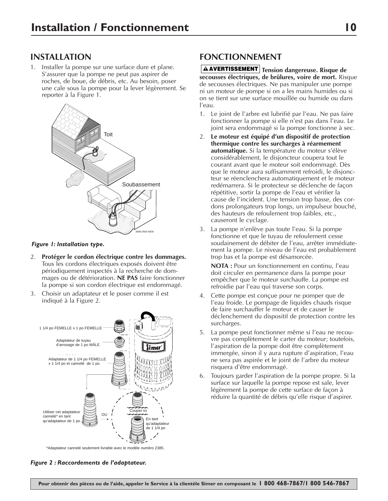1. Installer la pompe sur une surface dure et plane. S'assurer que la pompe ne peut pas aspirer de roches, de boue, de débris, etc. Au besoin, poser une cale sous la pompe pour la lever légèrement. Se reporter à la Figure 1.



#### *Figure 1: Installation type.*

- 2. **Protéger le cordon électrique contre les dommages.** Tous les cordons électriques exposés doivent être périodiquement inspectés à la recherche de dommages ou de détérioration. **NE PAS** faire fonctionner la pompe si son cordon électrique est endommagé.
- 3. Choisir un adaptateur et le poser comme il est indiqué à la Figure 2.



\*Adaptateur cannelé seulement livrable avec le modèle numéro 2385.

#### *Figure 2 : Raccordements de l'adaptateur.*

### **FONCTIONNEMENT**

**AVERTISSEMENT** Tension dangereuse. Risque de **secousses électriques, de brûlures, voire de mort.** Risque de secousses électriques. Ne pas manipuler une pompe ni un moteur de pompe si on a les mains humides ou si on se tient sur une surface mouillée ou humide ou dans l'eau.

- 1. Le joint de l'arbre est lubrifié par l'eau. Ne pas faire fonctionner la pompe si elle n'est pas dans l'eau. Le joint sera endommagé si la pompe fonctionne à sec.
- 2. **Le moteur est équipé d'un dispositif de protection thermique contre les surcharges à réarmement automatique.** Si la température du moteur s'élève considérablement, le disjoncteur coupera tout le courant avant que le moteur soit endommagé. Dès que le moteur aura suffisamment refroidi, le disjoncteur se réenclenchera automatiquement et le moteur redémarrera. Si le protecteur se déclenche de façon répétitive, sortir la pompe de l'eau et vérifier la cause de l'incident. Une tension trop basse, des cordons prolongateurs trop longs, un impulseur bouché, des hauteurs de refoulement trop faibles, etc., causeront le cyclage.
- 3. La pompe n'enlève pas toute l'eau. Si la pompe fonctionne et que le tuyau de refoulement cesse soudainement de débiter de l'eau, arrêter immédiatement la pompe. Le niveau de l'eau est probablement trop bas et la pompe est désamorcée.

**NOTA :** Pour un fonctionnement en continu, l'eau doit circuler en permanence dans la pompe pour empêcher que le moteur surchauffe. La pompe est refroidie par l'eau qui traverse son corps.

- 4. Cette pompe est conçue pour ne pomper que de l'eau froide. Le pompage de liquides chauds risque de faire surchauffer le moteur et de causer le déclenchement du dispositif de protection contre les surcharges.
- 5. La pompe peut fonctionner même si l'eau ne recouvre pas complètement le carter du moteur; toutefois, l'aspiration de la pompe doit être complètement immergée, sinon il y aura rupture d'aspiration, l'eau ne sera pas aspirée et le joint de l'arbre du moteur risquera d'être endommagé.
- 6. Toujours garder l'aspiration de la pompe propre. Si la surface sur laquelle la pompe repose est sale, lever légèrement la pompe de cette surface de façon à réduire la quantité de débris qu'elle risque d'aspirer.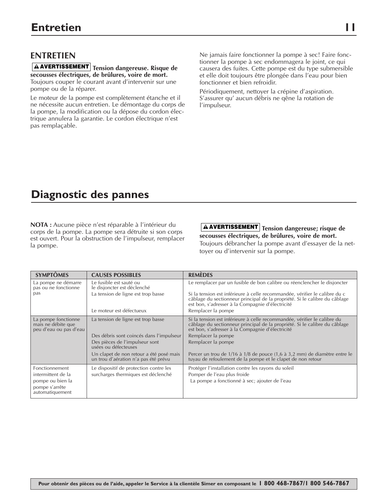#### **Tension dangereuse. Risque de AVERTISSEMENTsecousses électriques, de brûlures, voire de mort.**

Toujours couper le courant avant d'intervenir sur une pompe ou de la réparer.

Le moteur de la pompe est complètement étanche et il ne nécessite aucun entretien. Le démontage du corps de la pompe, la modification ou la dépose du cordon électrique annulera la garantie. Le cordon électrique n'est pas remplaçable.

Ne jamais faire fonctionner la pompe à sec! Faire fonctionner la pompe à sec endommagera le joint, ce qui causera des fuites. Cette pompe est du type submersible et elle doit toujours être plongée dans l'eau pour bien fonctionner et bien refroidir.

Périodiquement, nettoyer la crépine d'aspiration. S'assurer qu' aucun débris ne qêne la rotation de l'impulseur.

# **Diagnostic des pannes**

**NOTA :** Aucune pièce n'est réparable à l'intérieur du corps de la pompe. La pompe sera détruite si son corps est ouvert. Pour la obstruction de l'impulseur, remplacer la pompe.

**Tension dangereuse; risque de AVERTISSEMENT secousses électriques, de brûlures, voire de mort.** Toujours débrancher la pompe avant d'essayer de la nettoyer ou d'intervenir sur la pompe.

| <b>SYMPTÔMES</b>                                                    | <b>CAUSES POSSIBLES</b>                                                         | <b>REMÈDES</b>                                                                                                                                                                                               |
|---------------------------------------------------------------------|---------------------------------------------------------------------------------|--------------------------------------------------------------------------------------------------------------------------------------------------------------------------------------------------------------|
| La pompe ne démarre<br>pas ou ne fonctionne                         | Le fusible est sauté ou<br>le disjoncter est déclenché                          | Le remplacer par un fusible de bon calibre ou réenclencher le disjoncter                                                                                                                                     |
| pas                                                                 | La tension de ligne est trop basse                                              | Si la tension est inférieure à celle recommandée, vérifier le calibre du c<br>câblage du sectionneur principal de la propriété. Si le calibre du câblage<br>est bon, s'adresser à la Compagnie d'électricité |
|                                                                     | Le moteur est défectueux                                                        | Remplacer la pompe                                                                                                                                                                                           |
| La pompe fonctionne<br>mais ne débite que<br>peu d'eau ou pas d'eau | La tension de ligne est trop basse                                              | Si la tension est inférieure à celle recommandée, vérifier le calibre du<br>câblage du sectionneur principal de la propriété. Si le calibre du câblage<br>est bon, s'adresser à la Compagnie d'électricité   |
|                                                                     | Des débris sont coincés dans l'impulseur                                        | Remplacer la pompe                                                                                                                                                                                           |
|                                                                     | Des pièces de l'impulseur sont<br>usées ou défecteuses                          | Remplacer la pompe                                                                                                                                                                                           |
|                                                                     | Un clapet de non retour a été posé mais<br>un trou d'aération n'a pas été prévu | Percer un trou de 1/16 à 1/8 de pouce (1,6 à 3,2 mm) de diamètre entre le<br>tuyau de refoulement de la pompe et le clapet de non retour                                                                     |
| Fonctionnement                                                      | Le dispositif de protection contre les                                          | Protéger l'installation contre les rayons du soleil                                                                                                                                                          |
| intermittent de la                                                  | surcharges thermiques est déclenché                                             | Pomper de l'eau plus froide                                                                                                                                                                                  |
| pompe ou bien la                                                    |                                                                                 | La pompe a fonctionné à sec; ajouter de l'eau                                                                                                                                                                |
| pompe s'arrête<br>automatiquement                                   |                                                                                 |                                                                                                                                                                                                              |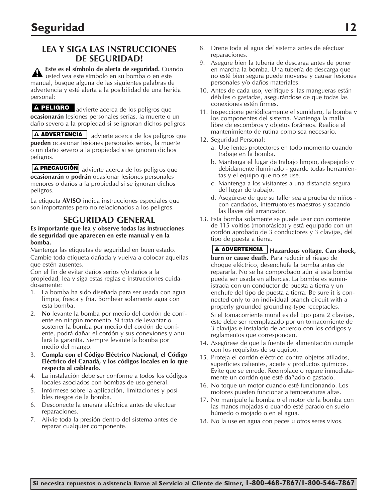### **LEA Y SIGA LAS INSTRUCCIONES DE SEGURIDAD!**

**Este es el símbolo de alerta de seguridad.** Cuando usted vea este símbolo en su bomba o en este manual, busque alguna de las siguientes palabras de advertencia y esté alerta a la posibilidad de una herida personal:

**PELIGRO** advierte acerca de los peligros que **ocasionarán** lesiones personales serias, la muerte o un daño severo a la propiedad si se ignoran dichos peligros.

**ADVERTENCIA** advierte acerca de los peligros que **pueden** ocasionar lesiones personales serias, la muerte o un daño severo a la propiedad si se ignoran dichos peligros.

**PRECAUCIÓN** advierte acerca de los peligros que **ocasionarán** o **podrán** ocasionar lesiones personales menores o daños a la propiedad si se ignoran dichos peligros.

La etiqueta **AVISO** indica instrucciones especiales que son importantes pero no relacionados a los peligros.

#### **SEGURIDAD GENERAL**

#### **Es importante que lea y observe todas las instrucciones de seguridad que aparecen en este manual y en la bomba.**

Mantenga las etiquetas de seguridad en buen estado. Cambie toda etiqueta dañada y vuelva a colocar aquellas que estén ausentes.

Con el fin de evitar daños serios y/o daños a la propiedad, lea y siga estas reglas e instrucciones cuidadosamente:

- 1. La bomba ha sido diseñada para ser usada con agua limpia, fresca y fría. Bombear solamente agua con esta bomba.
- 2. **No** levante la bomba por medio del cordón de corriente en ningún momento. Si trata de levantar o sostener la bomba por medio del cordón de corriente, podrá dañar el cordón y sus conexiones y anulará la garantía. Siempre levante la bomba por medio del mango.
- 3. **Cumpla con el Código Eléctrico Nacional, el Código Eléctrico del Canadá, y los códigos locales en lo que respecta al cableado.**
- 4. La instalación debe ser conforme a todos los códigos locales asociados con bombas de uso general.
- 5. Infórmese sobre la aplicación, limitaciones y posibles riesgos de la bomba.
- 6. Desconecte la energía eléctrica antes de efectuar reparaciones.
- 7. Alivie toda la presión dentro del sistema antes de reparar cualquier componente.
- 8. Drene toda el agua del sistema antes de efectuar reparaciones.
- 9. Asegure bien la tubería de descarga antes de poner en marcha la bomba. Una tubería de descarga que no esté bien segura puede moverse y causar lesiones personales y/o daños materiales.
- 10. Antes de cada uso, verifique si las mangueras están débiles o gastadas, asegurándose de que todas las conexiones estén firmes.
- 11. Inspeccione periódicamente el sumidero, la bomba y los componentes del sistema. Mantenga la malla libre de escombros y objetos foráneos. Realice el mantenimiento de rutina como sea necesario.
- 12. Seguridad Personal:
	- a. Use lentes protectores en todo momento cuando trabaje en la bomba.
	- b. Mantenga el lugar de trabajo limpio, despejado y debidamente iluminado - guarde todas herramientas y el equipo que no se use.
	- c. Mantenga a los visitantes a una distancia segura del lugar de trabajo.
	- d. Asegúrese de que su taller sea a prueba de niños con candados, interruptores maestros y sacando las llaves del arrancador.
- 13. Esta bomba solamente se puede usar con corriente de 115 voltios (monofásica) y está equipado con un cordón aprobado de 3 conductores y 3 clavijas, del tipo de puesta a tierra.
	- **Hazardous voltage. Can shock, ADVERTENCIA burn or cause death.** Para reducir el riegso de choque eléctrico, desenchufe la bomba antes de repararla. No se ha comprobado aún si esta bomba pueda ser usada en albercas. La bomba es suministrada con un conductor de puesta a tierra y un enchufe del tipo de puesta a tierra. Be sure it is connected only to an individual branch circuit with a properly grounded grounding-type receptacles.

Si el tomacorriente mural es del tipo para 2 clavijas, éste debe ser reemplazado por un tomacorriente de 3 clavijas e instalado de acuerdo con los códigos y reglamentos que correspondan.

- 14. Asegúrese de que la fuente de alimentación cumple con los requisitos de su equipo.
- 15. Proteja el cordón eléctrico contra objetos afilados, superficies calientes, aceite y productos químicos. Evite que se enrede. Reemplace o repare inmediatamente un cordón que esté dañado o gastado.
- 16. No toque un motor cuando esté funcionando. Los motores pueden funcionar a temperaturas altas.
- 17. No manipule la bomba o el motor de la bomba con las manos mojadas o cuando esté parado en suelo húmedo o mojado o en el agua.
- 18. No la use en agua con peces u otros seres vivos.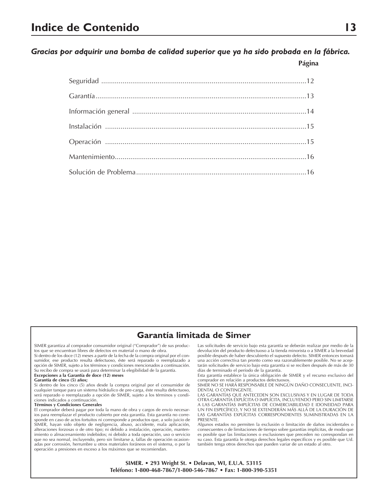*Gracias por adquirir una bomba de calidad superior que ya ha sido probada en la fábrica.*

**Página**

#### **Garantía limitada de Simer**

SIMER garantiza al comprador consumidor original ("Comprador") de sus productos que se encuentran libres de defectos en material o mano de obra.

Si dentro de los doce (12) meses a partir de la fecha de la compra original por el consumidor, ese producto resulta defectuoso, éste será reparado o reemplazado a opción de SIMER, sujeto a los términos y condiciones mencionados a continuación. Su recibo de compra se usará para determinar la elegibilidad de la garantía.

#### **Excepciones a la Garantía de doce (12) meses**

**Garantía de cinco (5) años;**

Si dentro de los cinco (5) años desde la compra original por el consumidor de cualquier tanque para un sistema hidráulico de pre-carga, éste resulta defectuoso, será reparado o reemplazado a opción de SIMER, sujeto a los términos y condiciones indicados a continuación.

#### **Términos y Condiciones Generales**

El comprador deberá pagar por toda la mano de obra y cargos de envío necesarios para reemplazar el producto cubierto por esta garantía. Esta garantía no corresponde en caso de actos fortuitos ni corresponde a productos que, a solo juicio de SIMER, hayan sido objeto de negligencia, abuso, accidente, mala aplicación, alteraciones forzosas o de otro tipo; ni debido a instalación, operación, mantenimiento o almacenamiento indebidos; ni debido a toda operación, uso o servicio que no sea normal, incluyendo, pero sin limitarse a, fallas de operación ocasionadas por corrosión, herrumbre u otros materiales foráneos en el sistema, o por la operación a presiones en exceso a los máximos que se recomiendan.

Las solicitudes de servicio bajo esta garantía se deberán realizar por medio de la devolución del producto defectuoso a la tienda minorista o a SIMER a la brevedad posible después de haber descubierto el supuesto defecto. SIMER entonces tomará una acción correctiva tan pronto como sea razonablemente posible. No se aceptarán solicitudes de servicio bajo esta garantía si se reciben después de más de 30 días de terminado el período de la garantía.

Esta garantía establece la única obligación de SIMER y el recurso exclusivo del

comprador en relación a productos defectuosos. SIMER NO SE HARÁ RESPONSABLE DE NINGÚN DAÑO CONSECUENTE, INCI-DENTAL O CONTINGENTE.

LAS GARANTÍAS QUE ANTECEDEN SON EXCLUSIVAS Y EN LUGAR DE TODA OTRA GARANTÍA EXPLÍCITA O IMPLÍCITA, INCLUYENDO PERO SIN LIMITARSE A LAS GARANTÍAS IMPLÍCITAS DE COMERCIABILIDAD E IDONEIDAD PARA UN FIN ESPECÍFICO, Y NO SE EXTENDERÁN MÁS ALLÁ DE LA DURACIÓN DE LAS GARANTÍAS EXPLÍCITAS CORRESPONDIENTES SUMINISTRADAS EN LA PRESENTE.

Algunos estados no permiten la exclusión o limitación de daños incidentales o consecuentes o de limitaciones de tiempo sobre garantías implícitas, de modo que es posible que las limitaciones o exclusiones que preceden no correspondan en su caso. Esta garantía le otorga derechos legales específicos y es posible que Ud. también tenga otros derechos que pueden variar de un estado al otro.

**SIMER. • 293 Wright St. • Delavan, WI, E.U.A. 53115 Teléfono: 1-800-468-7867/1-800-546-7867 • Fax: 1-800-390-5351**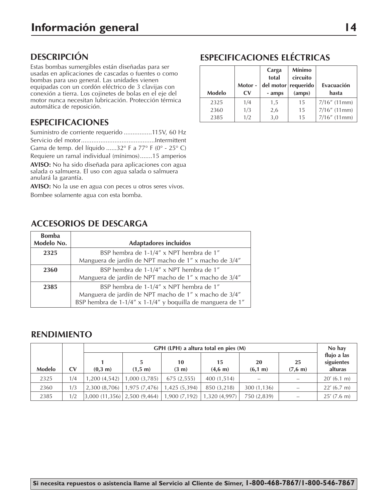## **DESCRIPCIÓN**

Estas bombas sumergibles están diseñadas para ser usadas en aplicaciones de cascadas o fuentes o como bombas para uso general. Las unidades vienen equipadas con un cordón eléctrico de 3 clavijas con conexión a tierra. Los cojinetes de bolas en el eje del motor nunca necesitan lubricación. Protección térmica automática de reposición.

## **ESPECIFICACIONES**

Suministro de corriente requerido ................115V, 60 Hz Servicio del motor..........................................Intermittent Gama de temp. del líquido ......32° F a 77° F (0° - 25° C) Requiere un ramal individual (mínimos).......15 amperios

**AVISO:** No ha sido diseñada para aplicaciones con agua salada o salmuera. El uso con agua salada o salmuera

anulará la garantía. **AVISO:** No la use en agua con peces u otros seres vivos. Bombee solamente agua con esta bomba.

## **ACCESORIOS DE DESCARGA**

| <b>Bomba</b><br>Modelo No. | <b>Adaptadores incluidos</b>                                                                                                                                   |
|----------------------------|----------------------------------------------------------------------------------------------------------------------------------------------------------------|
| 2325                       | BSP hembra de 1-1/4" x NPT hembra de 1"                                                                                                                        |
|                            | Manguera de jardín de NPT macho de 1" x macho de 3/4"                                                                                                          |
| 2360                       | BSP hembra de 1-1/4" x NPT hembra de 1"<br>Manguera de jardín de NPT macho de 1" x macho de 3/4"                                                               |
| 2385                       | BSP hembra de 1-1/4" x NPT hembra de 1"<br>Manguera de jardín de NPT macho de 1" x macho de 3/4"<br>BSP hembra de 1-1/4" x 1-1/4" y boquilla de manguera de 1" |

#### **RENDIMIENTO**

|               |              | GPH (LPH) a altura total en pies (M) |                                                |                                |                           |                |                          | No hav                               |
|---------------|--------------|--------------------------------------|------------------------------------------------|--------------------------------|---------------------------|----------------|--------------------------|--------------------------------------|
| <b>Modelo</b> | $\mathbf{C}$ | (0,3, m)                             | (1,5; m)                                       | 10<br>$(3 \text{ m})$          | 15<br>$(4,6 \; \text{m})$ | 20<br>(6,1, m) | 25<br>$(7, 6 \text{ m})$ | flujo a las<br>siguientes<br>alturas |
| 2325          | 1/4          | 1,200(4,542)                         | 1,000(3,785)                                   | 675 (2,555)                    | 400 (1,514)               |                |                          | 20' (6.1 m)                          |
| 2360          | 1/3          |                                      | $2,300(8,706)$   1,975 (7,476)   1,425 (5,394) |                                | 850 (3,218)               | 300 (1,136)    |                          | 22' (6.7 m)                          |
| 2385          | 1/2          |                                      | (3,000(11,356)   2,500(9,464)                  | $1,900(7,192)$   1,320 (4,997) |                           | 750 (2,839)    |                          | 25' (7.6 m)                          |

# **ESPECIFICACIONES ELÉCTRICAS**

|               | Motor -                 | Carga<br>total<br>del motor requerido | <b>Mínimo</b><br>circuito | Evacuación      |
|---------------|-------------------------|---------------------------------------|---------------------------|-----------------|
| <b>Modelo</b> | $\mathbf{C} \mathbf{V}$ | - amps                                | (amps)                    | hasta           |
| 2325          | 1/4                     | 1,5                                   | 15                        | $7/16''$ (11mm) |
| 2360          | 1/3                     | 2,6                                   | 15                        | $7/16''$ (11mm) |
| 2385          | 1/2                     | 3,0                                   | 15                        | $7/16''$ (11mm) |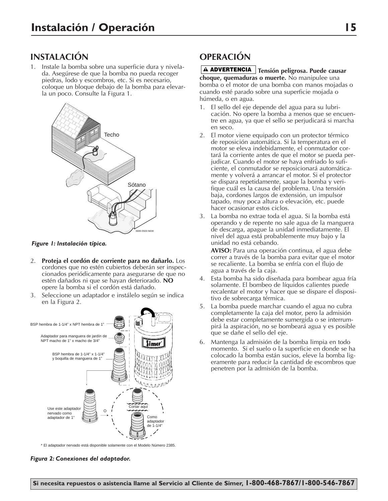### **INSTALACIÓN**

1. Instale la bomba sobre una superficie dura y nivelada. Asegúrese de que la bomba no pueda recoger piedras, lodo y escombros, etc. Si es necesario, coloque un bloque debajo de la bomba para elevarla un poco. Consulte la Figura 1.



*Figure 1: Instalación típica.*

- 2. **Proteja el cordón de corriente para no dañarlo.** Los cordones que no estén cubiertos deberán ser inspeccionados periódicamente para asegurarse de que no estén dañados ni que se hayan deteriorado. **NO** opere la bomba si el cordón está dañado.
- 3. Seleccione un adaptador e instálelo según se indica en la Figura 2.



\* El adaptador nervado está disponible solamente con el Modelo Número 2385.

#### *Figura 2: Conexiones del adaptador.*

### **OPERACIÓN**

### **Tensión peligrosa. Puede causar ADVERTENCIA**

**choque, quemaduras o muerte.** No manipulee una bomba o el motor de una bomba con manos mojadas o cuando esté parado sobre una superficie mojada o húmeda, o en agua.

- 1. El sello del eje depende del agua para su lubricación. No opere la bomba a menos que se encuentre en agua, ya que el sello se perjudicará si marcha en seco.
- 2. El motor viene equipado con un protector térmico de reposición automática. Si la temperatura en el motor se eleva indebidamente, el conmutador cortará la corriente antes de que el motor se pueda perjudicar. Cuando el motor se haya enfriado lo suficiente, el conmutador se reposicionará automáticamente y volverá a arrancar el motor. Si el protector se dispara repetidamente, saque la bomba y verifique cuál es la causa del problema. Una tensión baja, cordones largos de extensión, un impulsor tapado, muy poca altura o elevación, etc. puede hacer ocasionar estos ciclos.
- 3. La bomba no extrae toda el agua. Si la bomba está operando y de repente no sale agua de la manguera de descarga, apague la unidad inmediatamente. El nivel del agua está probablemente muy bajo y la unidad no está cebando.

**AVISO:** Para una operación continua, el agua debe correr a través de la bomba para evitar que el motor se recaliente. La bomba se enfría con el flujo de agua a través de la caja.

- 4. Esta bomba ha sido diseñada para bombear agua fría solamente. El bombeo de líquidos calientes puede recalentar el motor y hacer que se dispare el dispositivo de sobrecarga térmica.
- 5. La bomba puede marchar cuando el agua no cubra completamente la caja del motor, pero la admisión debe estar completamente sumergida o se interrumpirá la aspiración, no se bombeará agua y es posible que se dañe el sello del eje.
- 6. Mantenga la admisión de la bomba limpia en todo momento. Si el suelo o la superficie en donde se ha colocado la bomba están sucios, eleve la bomba ligeramente para reducir la cantidad de escombros que penetren por la admisión de la bomba.